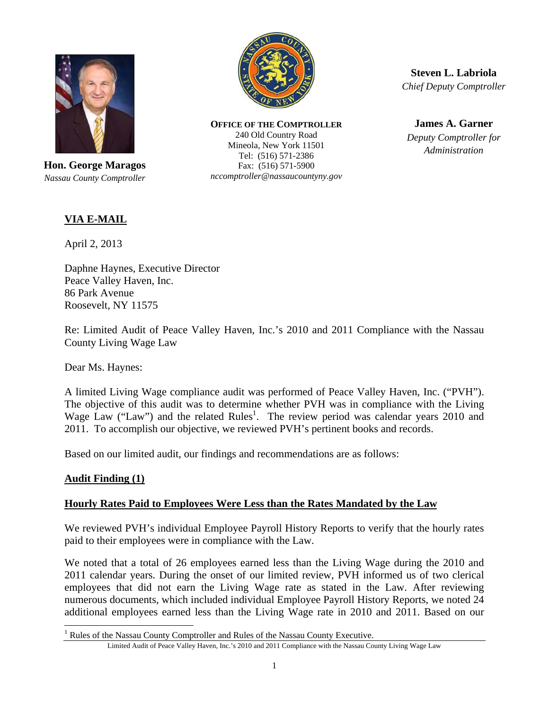

**Hon. George Maragos**  *Nassau County Comptroller* 



**OFFICE OF THE COMPTROLLER** 240 Old Country Road Mineola, New York 11501 Tel: (516) 571-2386 Fax: (516) 571-5900 *nccomptroller@nassaucountyny.gov* 

**Steven L. Labriola**  *Chief Deputy Comptroller* 

**James A. Garner**  *Deputy Comptroller for Administration*

## **VIA E-MAIL**

April 2, 2013

Daphne Haynes, Executive Director Peace Valley Haven, Inc. 86 Park Avenue Roosevelt, NY 11575

Re: Limited Audit of Peace Valley Haven, Inc.'s 2010 and 2011 Compliance with the Nassau County Living Wage Law

Dear Ms. Haynes:

A limited Living Wage compliance audit was performed of Peace Valley Haven, Inc. ("PVH"). The objective of this audit was to determine whether PVH was in compliance with the Living Wage Law ("Law") and the related Rules<sup>1</sup>. The review period was calendar years 2010 and 2011. To accomplish our objective, we reviewed PVH's pertinent books and records.

Based on our limited audit, our findings and recommendations are as follows:

## **Audit Finding (1)**

 $\overline{a}$ 

## **Hourly Rates Paid to Employees Were Less than the Rates Mandated by the Law**

We reviewed PVH's individual Employee Payroll History Reports to verify that the hourly rates paid to their employees were in compliance with the Law.

We noted that a total of 26 employees earned less than the Living Wage during the 2010 and 2011 calendar years. During the onset of our limited review, PVH informed us of two clerical employees that did not earn the Living Wage rate as stated in the Law. After reviewing numerous documents, which included individual Employee Payroll History Reports, we noted 24 additional employees earned less than the Living Wage rate in 2010 and 2011. Based on our

<sup>&</sup>lt;sup>1</sup> Rules of the Nassau County Comptroller and Rules of the Nassau County Executive.

Limited Audit of Peace Valley Haven, Inc.'s 2010 and 2011 Compliance with the Nassau County Living Wage Law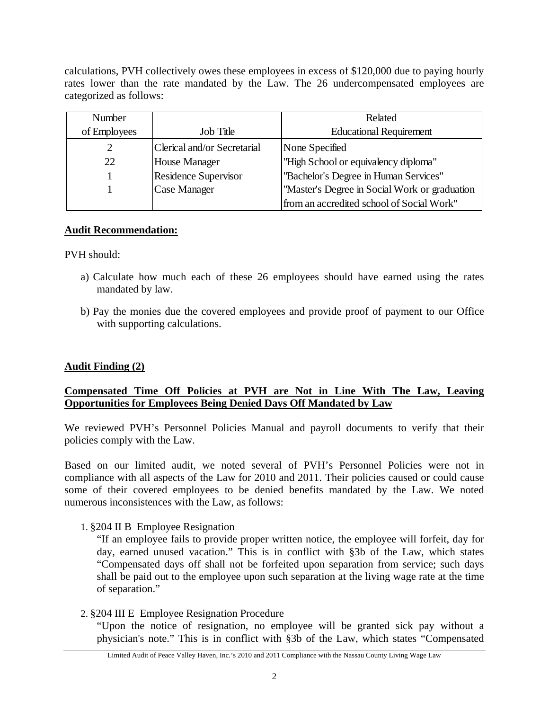calculations, PVH collectively owes these employees in excess of \$120,000 due to paying hourly rates lower than the rate mandated by the Law. The 26 undercompensated employees are categorized as follows:

| Number       |                             | Related                                        |
|--------------|-----------------------------|------------------------------------------------|
| of Employees | <b>Job Title</b>            | <b>Educational Requirement</b>                 |
|              | Clerical and/or Secretarial | None Specified                                 |
| 22           | House Manager               | "High School or equivalency diploma"           |
|              | Residence Supervisor        | "Bachelor's Degree in Human Services"          |
|              | Case Manager                | ''Master's Degree in Social Work or graduation |
|              |                             | from an accredited school of Social Work"      |

#### **Audit Recommendation:**

PVH should:

- a) Calculate how much each of these 26 employees should have earned using the rates mandated by law.
- b) Pay the monies due the covered employees and provide proof of payment to our Office with supporting calculations.

## **Audit Finding (2)**

## **Compensated Time Off Policies at PVH are Not in Line With The Law, Leaving Opportunities for Employees Being Denied Days Off Mandated by Law**

We reviewed PVH's Personnel Policies Manual and payroll documents to verify that their policies comply with the Law.

Based on our limited audit, we noted several of PVH's Personnel Policies were not in compliance with all aspects of the Law for 2010 and 2011. Their policies caused or could cause some of their covered employees to be denied benefits mandated by the Law. We noted numerous inconsistences with the Law, as follows:

#### 1. §204 II B Employee Resignation

"If an employee fails to provide proper written notice, the employee will forfeit, day for day, earned unused vacation." This is in conflict with §3b of the Law, which states "Compensated days off shall not be forfeited upon separation from service; such days shall be paid out to the employee upon such separation at the living wage rate at the time of separation."

## 2. §204 III E Employee Resignation Procedure

"Upon the notice of resignation, no employee will be granted sick pay without a physician's note." This is in conflict with §3b of the Law, which states "Compensated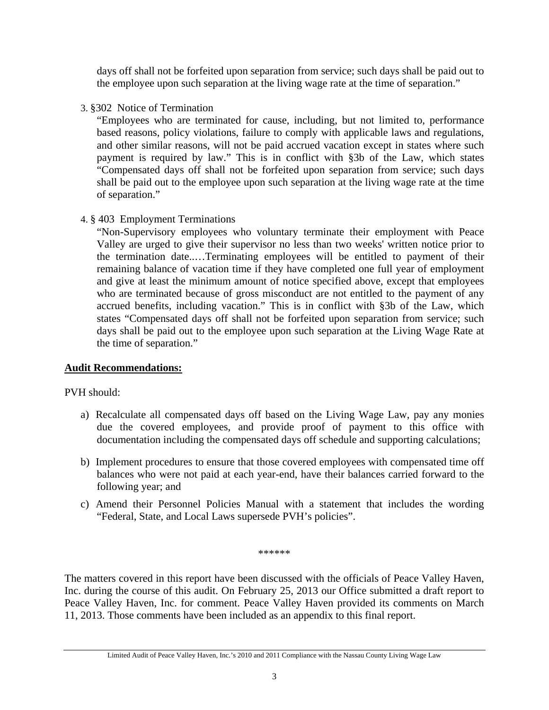days off shall not be forfeited upon separation from service; such days shall be paid out to the employee upon such separation at the living wage rate at the time of separation."

## 3. §302 Notice of Termination

"Employees who are terminated for cause, including, but not limited to, performance based reasons, policy violations, failure to comply with applicable laws and regulations, and other similar reasons, will not be paid accrued vacation except in states where such payment is required by law." This is in conflict with §3b of the Law, which states "Compensated days off shall not be forfeited upon separation from service; such days shall be paid out to the employee upon such separation at the living wage rate at the time of separation."

## 4. § 403 Employment Terminations

"Non-Supervisory employees who voluntary terminate their employment with Peace Valley are urged to give their supervisor no less than two weeks' written notice prior to the termination date..…Terminating employees will be entitled to payment of their remaining balance of vacation time if they have completed one full year of employment and give at least the minimum amount of notice specified above, except that employees who are terminated because of gross misconduct are not entitled to the payment of any accrued benefits, including vacation." This is in conflict with §3b of the Law, which states "Compensated days off shall not be forfeited upon separation from service; such days shall be paid out to the employee upon such separation at the Living Wage Rate at the time of separation."

## **Audit Recommendations:**

PVH should:

- a) Recalculate all compensated days off based on the Living Wage Law, pay any monies due the covered employees, and provide proof of payment to this office with documentation including the compensated days off schedule and supporting calculations;
- b) Implement procedures to ensure that those covered employees with compensated time off balances who were not paid at each year-end, have their balances carried forward to the following year; and
- c) Amend their Personnel Policies Manual with a statement that includes the wording "Federal, State, and Local Laws supersede PVH's policies".

\*\*\*\*\*\*

The matters covered in this report have been discussed with the officials of Peace Valley Haven, Inc. during the course of this audit. On February 25, 2013 our Office submitted a draft report to Peace Valley Haven, Inc. for comment. Peace Valley Haven provided its comments on March 11, 2013. Those comments have been included as an appendix to this final report.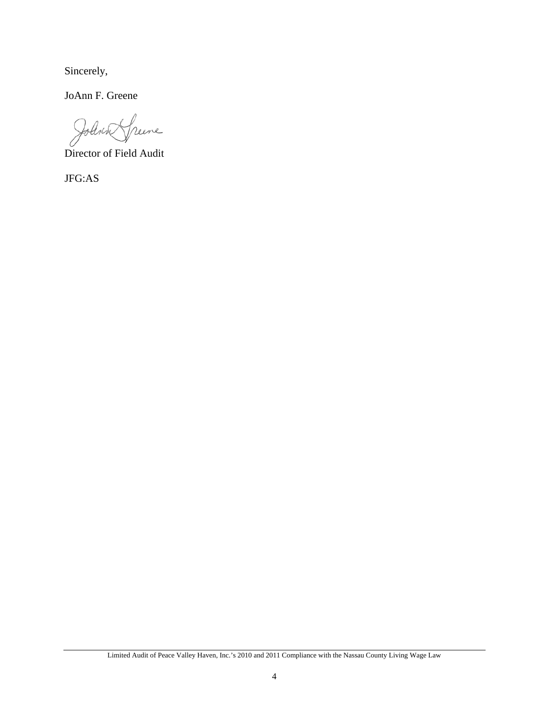Sincerely,

JoAnn F. Greene

Johnne Speere

Director of Field Audit

JFG:AS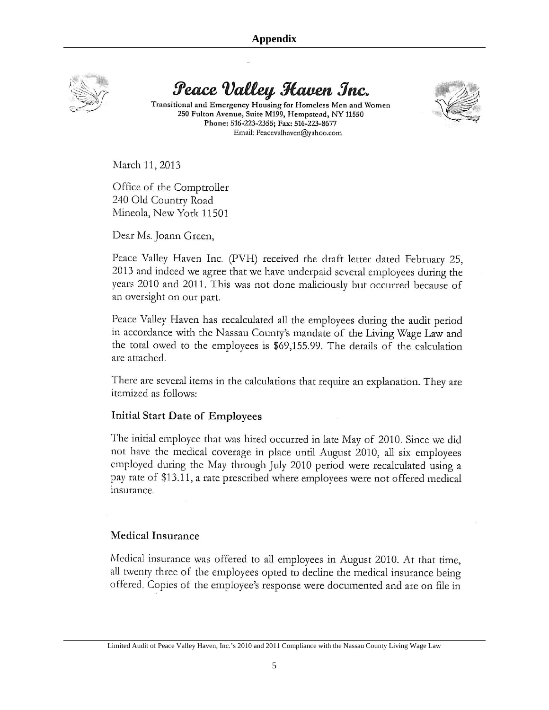

Peace Valley Haven Inc.

Transitional and Emergency Housing for Homeless Men and Women 250 Fulton Avenue, Suite M199, Hempstead, NY 11550 Phone: 516-223-2355; Fax: 516-223-8677 Email: Peacevalhaven@yahoo.com



March 11, 2013

Office of the Comptroller 240 Old Country Road Mineola, New York 11501

Dear Ms. Joann Green,

Peace Valley Haven Inc. (PVH) received the draft letter dated February 25, 2013 and indeed we agree that we have underpaid several employees during the years 2010 and 2011. This was not done maliciously but occurred because of an oversight on our part.

Peace Valley Haven has recalculated all the employees during the audit period in accordance with the Nassau County's mandate of the Living Wage Law and the total owed to the employees is \$69,155.99. The details of the calculation are attached.

There are several items in the calculations that require an explanation. They are itemized as follows:

#### Initial Start Date of Employees

The initial employee that was hired occurred in late May of 2010. Since we did not have the medical coverage in place until August 2010, all six employees employed during the May through July 2010 period were recalculated using a pay rate of \$13.11, a rate prescribed where employees were not offered medical insurance.

#### Medical Insurance

Medical insurance was offered to all employees in August 2010. At that time, all twenty three of the employees opted to decline the medical insurance being offered. Copies of the employee's response were documented and are on file in

Limited Audit of Peace Valley Haven, Inc.'s 2010 and 2011 Compliance with the Nassau County Living Wage Law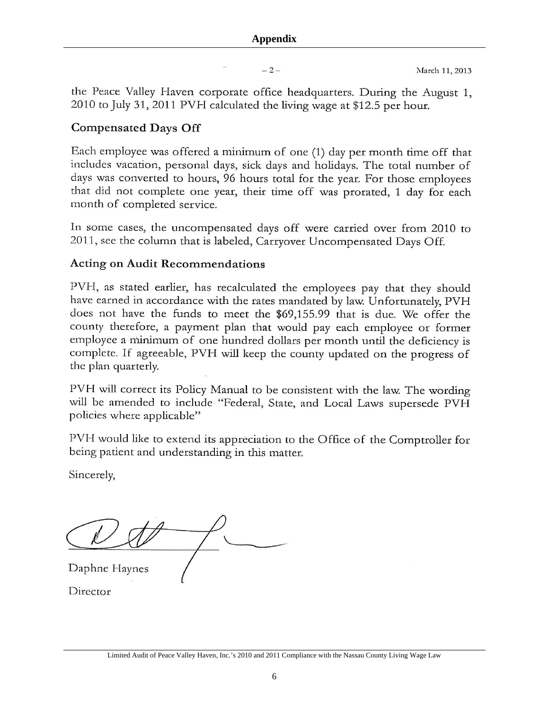$-2-$ 

the Peace Valley Haven corporate office headquarters. During the August 1, 2010 to July 31, 2011 PVH calculated the living wage at \$12.5 per hour.

# **Compensated Days Off**

Each employee was offered a minimum of one (1) day per month time off that includes vacation, personal days, sick days and holidays. The total number of days was converted to hours, 96 hours total for the year. For those employees that did not complete one year, their time off was prorated, 1 day for each month of completed service.

In some cases, the uncompensated days off were carried over from 2010 to 2011, see the column that is labeled, Carryover Uncompensated Days Off.

# **Acting on Audit Recommendations**

PVH, as stated earlier, has recalculated the employees pay that they should have earned in accordance with the rates mandated by law. Unfortunately, PVH does not have the funds to meet the \$69,155.99 that is due. We offer the county therefore, a payment plan that would pay each employee or former employee a minimum of one hundred dollars per month until the deficiency is complete. If agreeable, PVH will keep the county updated on the progress of the plan quarterly.

PVH will correct its Policy Manual to be consistent with the law. The wording will be amended to include "Federal, State, and Local Laws supersede PVH policies where applicable"

PVH would like to extend its appreciation to the Office of the Comptroller for being patient and understanding in this matter.

Sincerely,

Daphne Haynes

Director